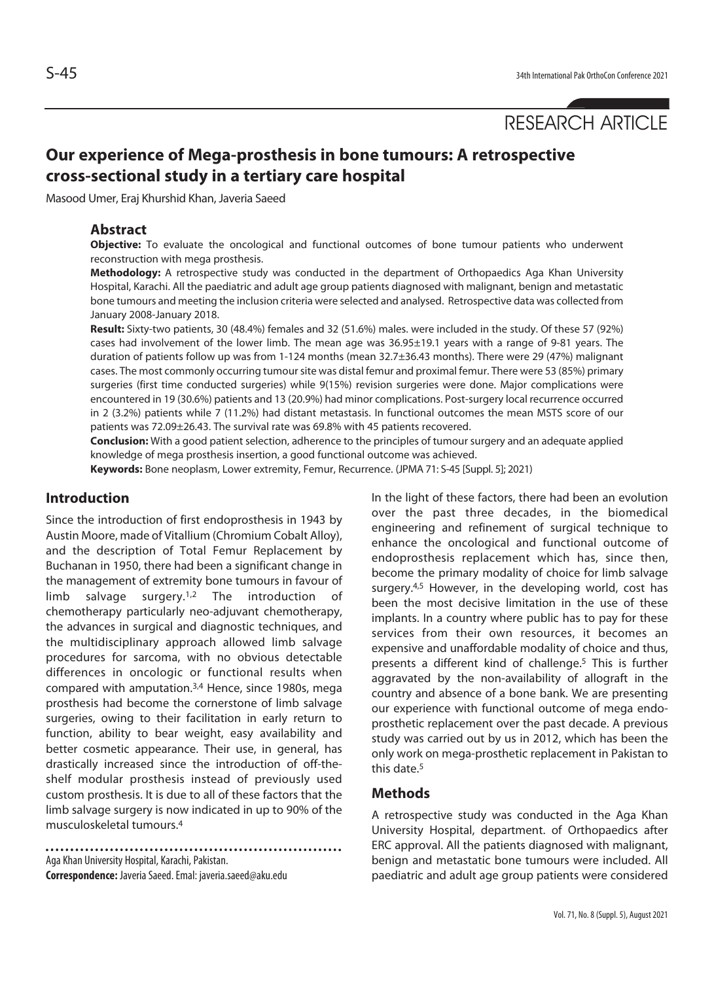# **Our experience of Mega-prosthesis in bone tumours: A retrospective cross-sectional study in a tertiary care hospital**

Masood Umer, Eraj Khurshid Khan, Javeria Saeed

#### **Abstract**

**Objective:** To evaluate the oncological and functional outcomes of bone tumour patients who underwent reconstruction with mega prosthesis.

**Methodology:** A retrospective study was conducted in the department of Orthopaedics Aga Khan University Hospital, Karachi. All the paediatric and adult age group patients diagnosed with malignant, benign and metastatic bone tumours and meeting the inclusion criteria were selected and analysed. Retrospective data was collected from January 2008-January 2018.

**Result:** Sixty-two patients, 30 (48.4%) females and 32 (51.6%) males. were included in the study. Of these 57 (92%) cases had involvement of the lower limb. The mean age was 36.95±19.1 years with a range of 9-81 years. The duration of patients follow up was from 1-124 months (mean 32.7±36.43 months). There were 29 (47%) malignant cases. The most commonly occurring tumour site was distal femur and proximal femur. There were 53 (85%) primary surgeries (first time conducted surgeries) while 9(15%) revision surgeries were done. Major complications were encountered in 19 (30.6%) patients and 13 (20.9%) had minor complications. Post-surgery local recurrence occurred in 2 (3.2%) patients while 7 (11.2%) had distant metastasis. In functional outcomes the mean MSTS score of our patients was 72.09±26.43. The survival rate was 69.8% with 45 patients recovered.

**Conclusion:** With a good patient selection, adherence to the principles of tumour surgery and an adequate applied knowledge of mega prosthesis insertion, a good functional outcome was achieved.

**Keywords:** Bone neoplasm, Lower extremity, Femur, Recurrence. (JPMA 71: S-45 [Suppl. 5]; 2021)

### **Introduction**

Since the introduction of first endoprosthesis in 1943 by Austin Moore, made of Vitallium (Chromium Cobalt Alloy), and the description of Total Femur Replacement by Buchanan in 1950, there had been a significant change in the management of extremity bone tumours in favour of limb salvage surgery.<sup>1,2</sup> The introduction of chemotherapy particularly neo-adjuvant chemotherapy, the advances in surgical and diagnostic techniques, and the multidisciplinary approach allowed limb salvage procedures for sarcoma, with no obvious detectable differences in oncologic or functional results when compared with amputation.3,4 Hence, since 1980s, mega prosthesis had become the cornerstone of limb salvage surgeries, owing to their facilitation in early return to function, ability to bear weight, easy availability and better cosmetic appearance. Their use, in general, has drastically increased since the introduction of off-theshelf modular prosthesis instead of previously used custom prosthesis. It is due to all of these factors that the limb salvage surgery is now indicated in up to 90% of the musculoskeletal tumours.4

Aga Khan University Hospital, Karachi, Pakistan. **Correspondence:** Javeria Saeed. Emal: javeria.saeed@aku.edu In the light of these factors, there had been an evolution over the past three decades, in the biomedical engineering and refinement of surgical technique to enhance the oncological and functional outcome of endoprosthesis replacement which has, since then, become the primary modality of choice for limb salvage surgery.<sup>4,5</sup> However, in the developing world, cost has been the most decisive limitation in the use of these implants. In a country where public has to pay for these services from their own resources, it becomes an expensive and unaffordable modality of choice and thus, presents a different kind of challenge.<sup>5</sup> This is further aggravated by the non-availability of allograft in the country and absence of a bone bank. We are presenting our experience with functional outcome of mega endoprosthetic replacement over the past decade. A previous study was carried out by us in 2012, which has been the only work on mega-prosthetic replacement in Pakistan to this date.5

#### **Methods**

A retrospective study was conducted in the Aga Khan University Hospital, department. of Orthopaedics after ERC approval. All the patients diagnosed with malignant, benign and metastatic bone tumours were included. All paediatric and adult age group patients were considered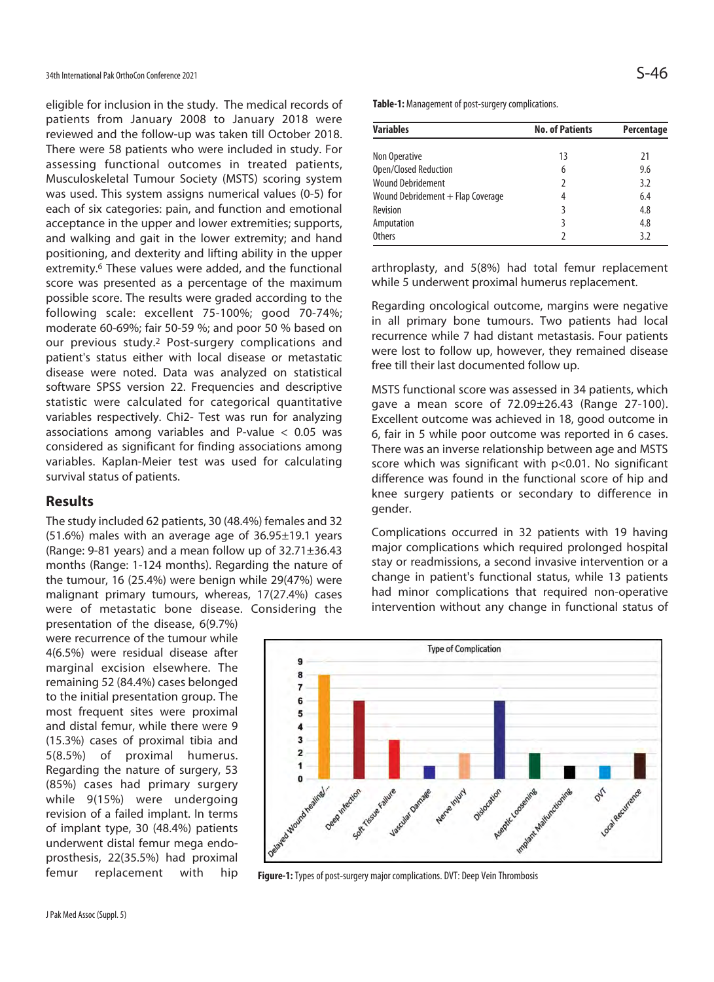eligible for inclusion in the study. The medical records of patients from January 2008 to January 2018 were reviewed and the follow-up was taken till October 2018. There were 58 patients who were included in study. For assessing functional outcomes in treated patients, Musculoskeletal Tumour Society (MSTS) scoring system was used. This system assigns numerical values (0-5) for each of six categories: pain, and function and emotional acceptance in the upper and lower extremities; supports, and walking and gait in the lower extremity; and hand positioning, and dexterity and lifting ability in the upper extremity.6 These values were added, and the functional score was presented as a percentage of the maximum possible score. The results were graded according to the following scale: excellent 75-100%; good 70-74%; moderate 60-69%; fair 50-59 %; and poor 50 % based on our previous study.2 Post-surgery complications and patient's status either with local disease or metastatic disease were noted. Data was analyzed on statistical software SPSS version 22. Frequencies and descriptive statistic were calculated for categorical quantitative variables respectively. Chi2- Test was run for analyzing associations among variables and P-value < 0.05 was considered as significant for finding associations among variables. Kaplan-Meier test was used for calculating survival status of patients.

#### **Results**

The study included 62 patients, 30 (48.4%) females and 32  $(51.6%)$  males with an average age of  $36.95±19.1$  years (Range: 9-81 years) and a mean follow up of 32.71±36.43 months (Range: 1-124 months). Regarding the nature of the tumour, 16 (25.4%) were benign while 29(47%) were malignant primary tumours, whereas, 17(27.4%) cases were of metastatic bone disease. Considering the

presentation of the disease, 6(9.7%) were recurrence of the tumour while 4(6.5%) were residual disease after marginal excision elsewhere. The remaining 52 (84.4%) cases belonged to the initial presentation group. The most frequent sites were proximal and distal femur, while there were 9 (15.3%) cases of proximal tibia and 5(8.5%) of proximal humerus. Regarding the nature of surgery, 53 (85%) cases had primary surgery while 9(15%) were undergoing revision of a failed implant. In terms of implant type, 30 (48.4%) patients underwent distal femur mega endoprosthesis, 22(35.5%) had proximal femur replacement with hip **Table-1:** Management of post-surgery complications.

| <b>Variables</b>                  | <b>No. of Patients</b> | Percentage |  |
|-----------------------------------|------------------------|------------|--|
| Non Operative                     | 13                     | 21         |  |
| Open/Closed Reduction             | 6                      | 9.6        |  |
| <b>Wound Debridement</b>          | 2                      | 3.2        |  |
| Wound Debridement + Flap Coverage | 4                      | 6.4        |  |
| Revision                          | 3                      | 4.8        |  |
| Amputation                        | 3                      | 4.8        |  |
| Others                            |                        | 3.2        |  |

arthroplasty, and 5(8%) had total femur replacement while 5 underwent proximal humerus replacement.

Regarding oncological outcome, margins were negative in all primary bone tumours. Two patients had local recurrence while 7 had distant metastasis. Four patients were lost to follow up, however, they remained disease free till their last documented follow up.

MSTS functional score was assessed in 34 patients, which gave a mean score of 72.09±26.43 (Range 27-100). Excellent outcome was achieved in 18, good outcome in 6, fair in 5 while poor outcome was reported in 6 cases. There was an inverse relationship between age and MSTS score which was significant with p<0.01. No significant difference was found in the functional score of hip and knee surgery patients or secondary to difference in gender.

Complications occurred in 32 patients with 19 having major complications which required prolonged hospital stay or readmissions, a second invasive intervention or a change in patient's functional status, while 13 patients had minor complications that required non-operative intervention without any change in functional status of



**Figure-1:** Types of post-surgery major complications. DVT: Deep Vein Thrombosis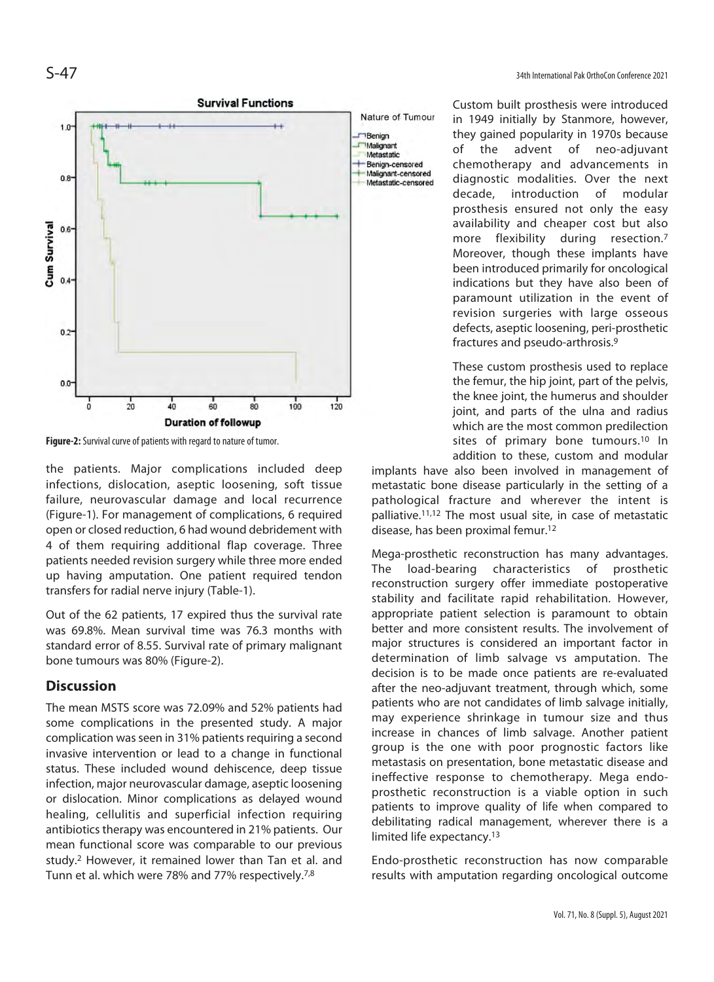

**Figure-2:** Survival curve of patients with regard to nature of tumor.

the patients. Major complications included deep infections, dislocation, aseptic loosening, soft tissue failure, neurovascular damage and local recurrence (Figure-1). For management of complications, 6 required open or closed reduction, 6 had wound debridement with 4 of them requiring additional flap coverage. Three patients needed revision surgery while three more ended up having amputation. One patient required tendon transfers for radial nerve injury (Table-1).

Out of the 62 patients, 17 expired thus the survival rate was 69.8%. Mean survival time was 76.3 months with standard error of 8.55. Survival rate of primary malignant bone tumours was 80% (Figure-2).

#### **Discussion**

The mean MSTS score was 72.09% and 52% patients had some complications in the presented study. A major complication was seen in 31% patients requiring a second invasive intervention or lead to a change in functional status. These included wound dehiscence, deep tissue infection, major neurovascular damage, aseptic loosening or dislocation. Minor complications as delayed wound healing, cellulitis and superficial infection requiring antibiotics therapy was encountered in 21% patients. Our mean functional score was comparable to our previous study.2 However, it remained lower than Tan et al. and Tunn et al. which were 78% and 77% respectively.7,8

Custom built prosthesis were introduced in 1949 initially by Stanmore, however, they gained popularity in 1970s because of the advent of neo-adjuvant chemotherapy and advancements in diagnostic modalities. Over the next decade, introduction of modular prosthesis ensured not only the easy availability and cheaper cost but also more flexibility during resection.<sup>7</sup> Moreover, though these implants have been introduced primarily for oncological indications but they have also been of paramount utilization in the event of revision surgeries with large osseous defects, aseptic loosening, peri-prosthetic fractures and pseudo-arthrosis.9

These custom prosthesis used to replace the femur, the hip joint, part of the pelvis, the knee joint, the humerus and shoulder joint, and parts of the ulna and radius which are the most common predilection sites of primary bone tumours.<sup>10</sup> In addition to these, custom and modular

implants have also been involved in management of metastatic bone disease particularly in the setting of a pathological fracture and wherever the intent is palliative.11,12 The most usual site, in case of metastatic disease, has been proximal femur.12

Mega-prosthetic reconstruction has many advantages. The load-bearing characteristics of prosthetic reconstruction surgery offer immediate postoperative stability and facilitate rapid rehabilitation. However, appropriate patient selection is paramount to obtain better and more consistent results. The involvement of major structures is considered an important factor in determination of limb salvage vs amputation. The decision is to be made once patients are re-evaluated after the neo-adjuvant treatment, through which, some patients who are not candidates of limb salvage initially, may experience shrinkage in tumour size and thus increase in chances of limb salvage. Another patient group is the one with poor prognostic factors like metastasis on presentation, bone metastatic disease and ineffective response to chemotherapy. Mega endoprosthetic reconstruction is a viable option in such patients to improve quality of life when compared to debilitating radical management, wherever there is a limited life expectancy.13

Endo-prosthetic reconstruction has now comparable results with amputation regarding oncological outcome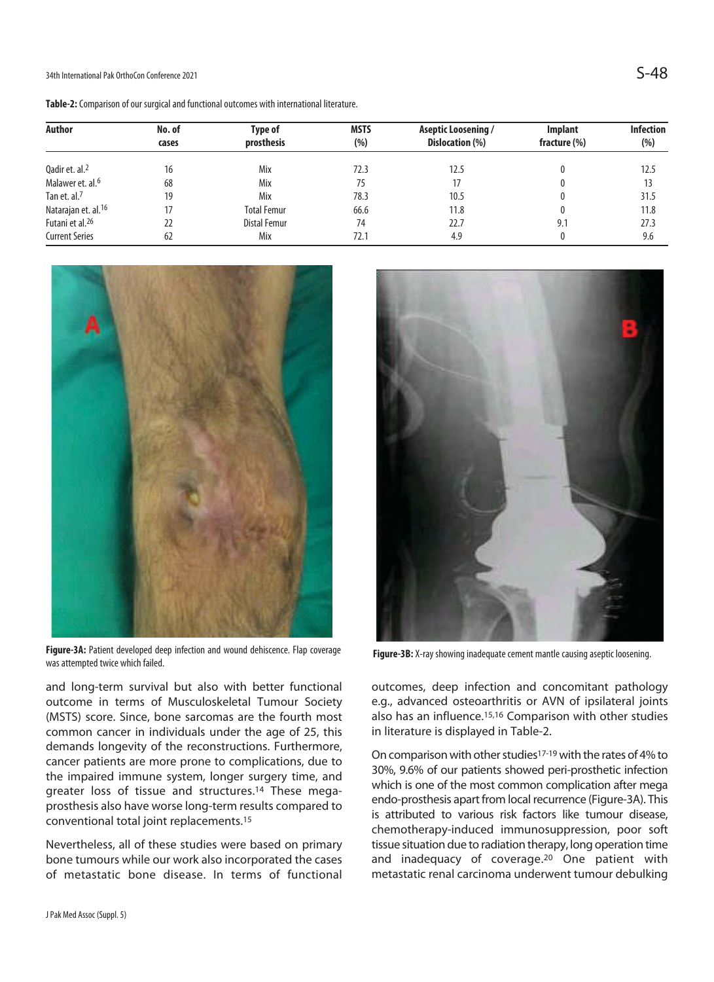34th International Pak OrthoCon Conference 2021  $\mathsf{S}\text{-}48$ 

**Table-2:** Comparison of our surgical and functional outcomes with international literature.

| Author                          | No. of<br>cases | Type of<br>prosthesis | <b>MSTS</b><br>(% ) | Aseptic Loosening /<br>Dislocation (%) | Implant<br>fracture (%) | <b>Infection</b><br>(% ) |
|---------------------------------|-----------------|-----------------------|---------------------|----------------------------------------|-------------------------|--------------------------|
|                                 |                 |                       |                     |                                        |                         |                          |
| Malawer et. al. <sup>6</sup>    | 68              | Mix                   | 75                  | 17                                     |                         | 13                       |
| Tan et. al. <sup>7</sup>        | 19              | Mix                   | 78.3                | 10.5                                   | 0                       | 31.5                     |
| Natarajan et. al. <sup>16</sup> |                 | <b>Total Femur</b>    | 66.6                | 11.8                                   | 0                       | 11.8                     |
| Futani et al. <sup>26</sup>     | 22              | Distal Femur          | 74                  | 22.7                                   | 9.1                     | 27.3                     |
| <b>Current Series</b>           | 62              | Mix                   | 72.1                | 4.9                                    | 0                       | 9.6                      |



**Figure-3A:** Patient developed deep infection and wound dehiscence. Flap coverage Figure-3A: Patient developed deep infection and wound dehiscence. Hap coverage **Figure-3B:** X-ray showing inadequate cement mantle causing aseptic loosening.<br>was attempted twice which failed.

and long-term survival but also with better functional outcome in terms of Musculoskeletal Tumour Society (MSTS) score. Since, bone sarcomas are the fourth most common cancer in individuals under the age of 25, this demands longevity of the reconstructions. Furthermore, cancer patients are more prone to complications, due to the impaired immune system, longer surgery time, and greater loss of tissue and structures.14 These megaprosthesis also have worse long-term results compared to conventional total joint replacements.15

Nevertheless, all of these studies were based on primary bone tumours while our work also incorporated the cases of metastatic bone disease. In terms of functional



outcomes, deep infection and concomitant pathology e.g., advanced osteoarthritis or AVN of ipsilateral joints also has an influence.<sup>15,16</sup> Comparison with other studies in literature is displayed in Table-2.

On comparison with other studies17-19 with the rates of 4% to 30%, 9.6% of our patients showed peri-prosthetic infection which is one of the most common complication after mega endo-prosthesis apart from local recurrence (Figure-3A). This is attributed to various risk factors like tumour disease, chemotherapy-induced immunosuppression, poor soft tissue situation due to radiation therapy, long operation time and inadequacy of coverage.20 One patient with metastatic renal carcinoma underwent tumour debulking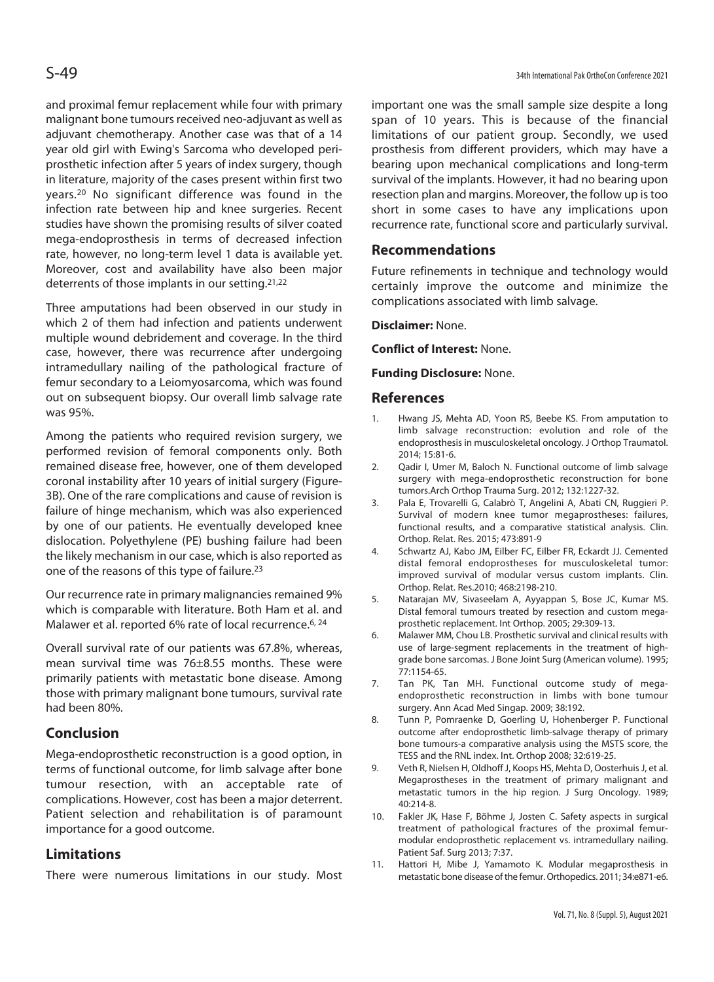and proximal femur replacement while four with primary malignant bone tumours received neo-adjuvant as well as adjuvant chemotherapy. Another case was that of a 14 year old girl with Ewing's Sarcoma who developed periprosthetic infection after 5 years of index surgery, though in literature, majority of the cases present within first two years.20 No significant difference was found in the infection rate between hip and knee surgeries. Recent studies have shown the promising results of silver coated mega-endoprosthesis in terms of decreased infection rate, however, no long-term level 1 data is available yet. Moreover, cost and availability have also been major deterrents of those implants in our setting.21,22

Three amputations had been observed in our study in which 2 of them had infection and patients underwent multiple wound debridement and coverage. In the third case, however, there was recurrence after undergoing intramedullary nailing of the pathological fracture of femur secondary to a Leiomyosarcoma, which was found out on subsequent biopsy. Our overall limb salvage rate was 95%.

Among the patients who required revision surgery, we performed revision of femoral components only. Both remained disease free, however, one of them developed coronal instability after 10 years of initial surgery (Figure-3B). One of the rare complications and cause of revision is failure of hinge mechanism, which was also experienced by one of our patients. He eventually developed knee dislocation. Polyethylene (PE) bushing failure had been the likely mechanism in our case, which is also reported as one of the reasons of this type of failure.23

Our recurrence rate in primary malignancies remained 9% which is comparable with literature. Both Ham et al. and Malawer et al. reported 6% rate of local recurrence.<sup>6, 24</sup>

Overall survival rate of our patients was 67.8%, whereas, mean survival time was 76±8.55 months. These were primarily patients with metastatic bone disease. Among those with primary malignant bone tumours, survival rate had been 80%.

### **Conclusion**

Mega-endoprosthetic reconstruction is a good option, in terms of functional outcome, for limb salvage after bone tumour resection, with an acceptable rate of complications. However, cost has been a major deterrent. Patient selection and rehabilitation is of paramount importance for a good outcome.

### **Limitations**

There were numerous limitations in our study. Most

important one was the small sample size despite a long span of 10 years. This is because of the financial limitations of our patient group. Secondly, we used prosthesis from different providers, which may have a bearing upon mechanical complications and long-term survival of the implants. However, it had no bearing upon resection plan and margins. Moreover, the follow up is too short in some cases to have any implications upon recurrence rate, functional score and particularly survival.

# **Recommendations**

Future refinements in technique and technology would certainly improve the outcome and minimize the complications associated with limb salvage.

### **Disclaimer:** None.

**Conflict of Interest:** None.

### **Funding Disclosure:** None.

# **References**

- 1. Hwang JS, Mehta AD, Yoon RS, Beebe KS. From amputation to limb salvage reconstruction: evolution and role of the endoprosthesis in musculoskeletal oncology. J Orthop Traumatol. 2014; 15:81-6.
- 2. Qadir I, Umer M, Baloch N. Functional outcome of limb salvage surgery with mega-endoprosthetic reconstruction for bone tumors.Arch Orthop Trauma Surg. 2012; 132:1227-32.
- 3. Pala E, Trovarelli G, Calabrò T, Angelini A, Abati CN, Ruggieri P. Survival of modern knee tumor megaprostheses: failures, functional results, and a comparative statistical analysis. Clin. Orthop. Relat. Res. 2015; 473:891-9
- 4. Schwartz AJ, Kabo JM, Eilber FC, Eilber FR, Eckardt JJ. Cemented distal femoral endoprostheses for musculoskeletal tumor: improved survival of modular versus custom implants. Clin. Orthop. Relat. Res.2010; 468:2198-210.
- 5. Natarajan MV, Sivaseelam A, Ayyappan S, Bose JC, Kumar MS. Distal femoral tumours treated by resection and custom megaprosthetic replacement. Int Orthop. 2005; 29:309-13.
- 6. Malawer MM, Chou LB. Prosthetic survival and clinical results with use of large-segment replacements in the treatment of highgrade bone sarcomas. J Bone Joint Surg (American volume). 1995; 77:1154-65.
- 7. Tan PK, Tan MH. Functional outcome study of megaendoprosthetic reconstruction in limbs with bone tumour surgery. Ann Acad Med Singap. 2009; 38:192.
- 8. Tunn P, Pomraenke D, Goerling U, Hohenberger P. Functional outcome after endoprosthetic limb-salvage therapy of primary bone tumours-a comparative analysis using the MSTS score, the TESS and the RNL index. Int. Orthop 2008; 32:619-25.
- 9. Veth R, Nielsen H, Oldhoff J, Koops HS, Mehta D, Oosterhuis J, et al. Megaprostheses in the treatment of primary malignant and metastatic tumors in the hip region. J Surg Oncology. 1989;  $40.214 - 8$
- 10. Fakler JK, Hase F, Böhme J, Josten C. Safety aspects in surgical treatment of pathological fractures of the proximal femurmodular endoprosthetic replacement vs. intramedullary nailing. Patient Saf. Surg 2013; 7:37.
- 11. Hattori H, Mibe J, Yamamoto K. Modular megaprosthesis in metastatic bone disease of the femur. Orthopedics. 2011; 34:e871-e6.